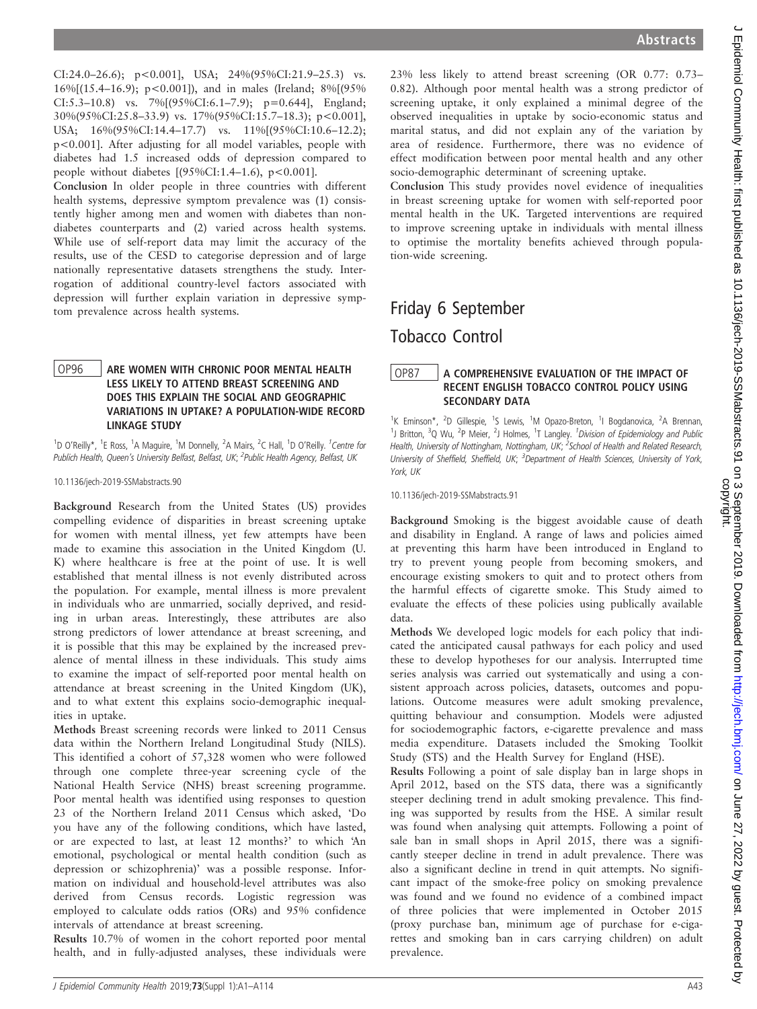CI:24.0–26.6);  $p < 0.001$ ], USA;  $24\% (95\% CI:21.9-25.3)$  vs. 16%[(15.4–16.9); p<0.001]), and in males (Ireland; 8%[(95% CI:5.3–10.8) vs. 7%[(95%CI:6.1–7.9); p=0.644], England; 30%(95%CI:25.8–33.9) vs. 17%(95%CI:15.7–18.3); p<0.001], USA;  $16\%(95\%CI:14.4-17.7)$  vs.  $11\%(195\%CI:10.6-12.2);$ p<0.001]. After adjusting for all model variables, people with diabetes had 1.5 increased odds of depression compared to people without diabetes  $[ (95\% CI: 1.4-1.6), p < 0.001 ]$ .

Conclusion In older people in three countries with different health systems, depressive symptom prevalence was (1) consistently higher among men and women with diabetes than nondiabetes counterparts and (2) varied across health systems. While use of self-report data may limit the accuracy of the results, use of the CESD to categorise depression and of large nationally representative datasets strengthens the study. Interrogation of additional country-level factors associated with depression will further explain variation in depressive symptom prevalence across health systems.

#### OP96 ARE WOMEN WITH CHRONIC POOR MENTAL HEALTH LESS LIKELY TO ATTEND BREAST SCREENING AND DOES THIS EXPLAIN THE SOCIAL AND GEOGRAPHIC VARIATIONS IN UPTAKE? A POPULATION-WIDE RECORD LINKAGE STUDY

<sup>1</sup>D O'Reilly\*, <sup>1</sup>E Ross, <sup>1</sup>A Maguire, <sup>1</sup>M Donnelly, <sup>2</sup>A Mairs, <sup>2</sup>C Hall, <sup>1</sup>D O'Reilly. <sup>1</sup>Centre for Publich Health, Queen's University Belfast, Belfast, UK; <sup>2</sup>Public Health Agency, Belfast, UK

10.1136/jech-2019-SSMabstracts.90

Background Research from the United States (US) provides compelling evidence of disparities in breast screening uptake for women with mental illness, yet few attempts have been made to examine this association in the United Kingdom (U. K) where healthcare is free at the point of use. It is well established that mental illness is not evenly distributed across the population. For example, mental illness is more prevalent in individuals who are unmarried, socially deprived, and residing in urban areas. Interestingly, these attributes are also strong predictors of lower attendance at breast screening, and it is possible that this may be explained by the increased prevalence of mental illness in these individuals. This study aims to examine the impact of self-reported poor mental health on attendance at breast screening in the United Kingdom (UK), and to what extent this explains socio-demographic inequalities in uptake.

Methods Breast screening records were linked to 2011 Census data within the Northern Ireland Longitudinal Study (NILS). This identified a cohort of 57,328 women who were followed through one complete three-year screening cycle of the National Health Service (NHS) breast screening programme. Poor mental health was identified using responses to question 23 of the Northern Ireland 2011 Census which asked, 'Do you have any of the following conditions, which have lasted, or are expected to last, at least 12 months?' to which 'An emotional, psychological or mental health condition (such as depression or schizophrenia)' was a possible response. Information on individual and household-level attributes was also derived from Census records. Logistic regression was employed to calculate odds ratios (ORs) and 95% confidence intervals of attendance at breast screening.

Results 10.7% of women in the cohort reported poor mental health, and in fully-adjusted analyses, these individuals were 23% less likely to attend breast screening (OR 0.77: 0.73– 0.82). Although poor mental health was a strong predictor of screening uptake, it only explained a minimal degree of the observed inequalities in uptake by socio-economic status and marital status, and did not explain any of the variation by area of residence. Furthermore, there was no evidence of effect modification between poor mental health and any other socio-demographic determinant of screening uptake.

Conclusion This study provides novel evidence of inequalities in breast screening uptake for women with self-reported poor mental health in the UK. Targeted interventions are required to improve screening uptake in individuals with mental illness to optimise the mortality benefits achieved through population-wide screening.

# Friday 6 September Tobacco Control

# OP87 A COMPREHENSIVE EVALUATION OF THE IMPACT OF RECENT ENGLISH TOBACCO CONTROL POLICY USING SECONDARY DATA

<sup>1</sup>K Eminson\*, <sup>2</sup>D Gillespie, <sup>1</sup>S Lewis, <sup>1</sup>M Opazo-Breton, <sup>1</sup>I Bogdanovica, <sup>2</sup>A Brennan, <sup>1</sup>J Britton, <sup>3</sup>Q Wu, <sup>2</sup>P Meier, <sup>2</sup>J Holmes, <sup>1</sup>T Langley. *<sup>1</sup>Division of Epidemiology and Public* Health, University of Nottingham, Nottingham, UK; <sup>2</sup>School of Health and Related Research, University of Sheffield, Sheffield, UK; <sup>3</sup>Department of Health Sciences, University of York, York, IIK

10.1136/jech-2019-SSMabstracts.91

Background Smoking is the biggest avoidable cause of death and disability in England. A range of laws and policies aimed at preventing this harm have been introduced in England to try to prevent young people from becoming smokers, and encourage existing smokers to quit and to protect others from the harmful effects of cigarette smoke. This Study aimed to evaluate the effects of these policies using publically available data.

Methods We developed logic models for each policy that indicated the anticipated causal pathways for each policy and used these to develop hypotheses for our analysis. Interrupted time series analysis was carried out systematically and using a consistent approach across policies, datasets, outcomes and populations. Outcome measures were adult smoking prevalence, quitting behaviour and consumption. Models were adjusted for sociodemographic factors, e-cigarette prevalence and mass media expenditure. Datasets included the Smoking Toolkit Study (STS) and the Health Survey for England (HSE).

Results Following a point of sale display ban in large shops in April 2012, based on the STS data, there was a significantly steeper declining trend in adult smoking prevalence. This finding was supported by results from the HSE. A similar result was found when analysing quit attempts. Following a point of sale ban in small shops in April 2015, there was a significantly steeper decline in trend in adult prevalence. There was also a significant decline in trend in quit attempts. No significant impact of the smoke-free policy on smoking prevalence was found and we found no evidence of a combined impact of three policies that were implemented in October 2015 (proxy purchase ban, minimum age of purchase for e-cigarettes and smoking ban in cars carrying children) on adult prevalence.